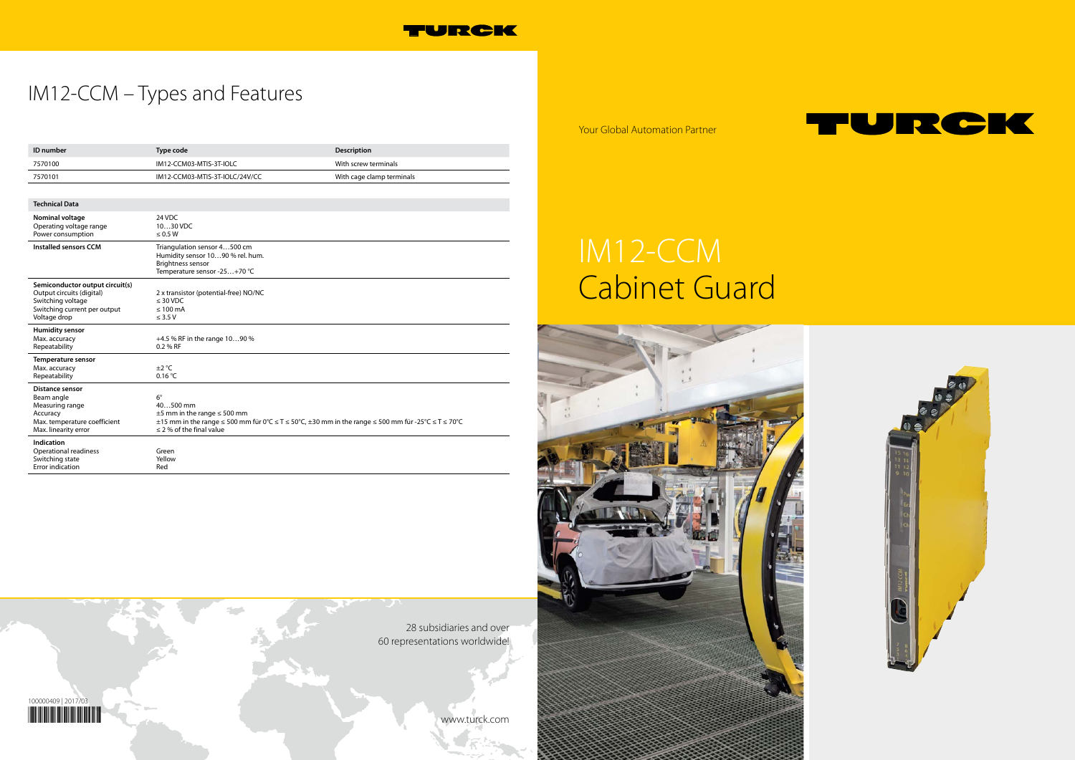Your Global Automation Partner

28 subsidiaries and over 60 representations worldwide!

www.turck.com









## IM12-CCM – Types and Features

# IM12-CCM Cabinet Guard



| ID number                                                                                                                         | <b>Type code</b>                                                                                                                                                                                        | <b>Description</b>        |
|-----------------------------------------------------------------------------------------------------------------------------------|---------------------------------------------------------------------------------------------------------------------------------------------------------------------------------------------------------|---------------------------|
| 7570100                                                                                                                           | IM12-CCM03-MTIS-3T-IOLC                                                                                                                                                                                 | With screw terminals      |
| 7570101                                                                                                                           | IM12-CCM03-MTIS-3T-IOLC/24V/CC                                                                                                                                                                          | With cage clamp terminals |
|                                                                                                                                   |                                                                                                                                                                                                         |                           |
| <b>Technical Data</b>                                                                                                             |                                                                                                                                                                                                         |                           |
| Nominal voltage<br>Operating voltage range<br>Power consumption                                                                   | 24 VDC<br>1030 VDC<br>$\leq 0.5 W$                                                                                                                                                                      |                           |
| <b>Installed sensors CCM</b>                                                                                                      | Triangulation sensor 4500 cm<br>Humidity sensor 1090 % rel. hum.<br><b>Brightness sensor</b><br>Temperature sensor -25+70 °C                                                                            |                           |
| Semiconductor output circuit(s)<br>Output circuits (digital)<br>Switching voltage<br>Switching current per output<br>Voltage drop | 2 x transistor (potential-free) NO/NC<br>$\leq 30$ VDC<br>$\leq 100$ mA<br>$\leq$ 3.5 V                                                                                                                 |                           |
| <b>Humidity sensor</b><br>Max. accuracy<br>Repeatability                                                                          | +4.5 % RF in the range 1090 %<br>0.2 % RF                                                                                                                                                               |                           |
| Temperature sensor<br>Max. accuracy<br>Repeatability                                                                              | $\pm 2$ °C<br>0.16 °C                                                                                                                                                                                   |                           |
| <b>Distance sensor</b><br>Beam angle<br>Measuring range<br>Accuracy<br>Max. temperature coefficient<br>Max. linearity error       | $6^{\circ}$<br>40500 mm<br>$\pm 5$ mm in the range $\leq 500$ mm<br>±15 mm in the range ≤ 500 mm für 0°C ≤ T ≤ 50°C, ±30 mm in the range ≤ 500 mm für -25°C ≤ T ≤ 70°C<br>$\leq$ 2 % of the final value |                           |
| Indication<br><b>Operational readiness</b><br>Switching state<br>Error indication                                                 | Green<br>Yellow<br>Red                                                                                                                                                                                  |                           |